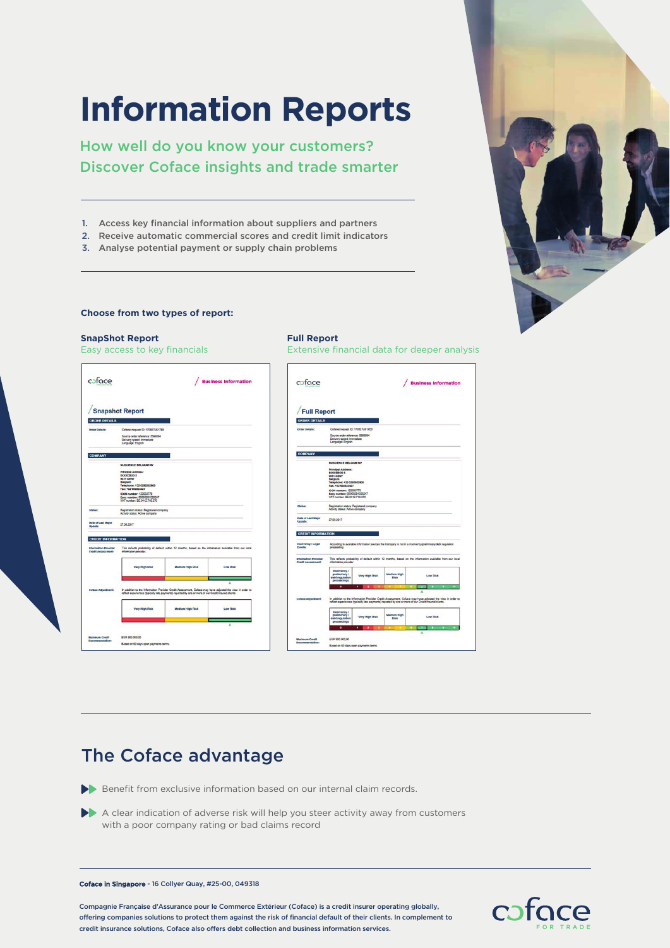# **Information Reports**

How well do you know your customers? Discover Coface insights and trade smarter

- 1. Access key financial information about suppliers and partners
- 2. Receive automatic commercial scores and credit limit indicators
- 3. Analyse potential payment or supply chain problems

### **Choose from two types of report:**

## **SnapShot Report Full Report**  Easy access to key financials Extensive financial data for deeper analysis cafoce / Business Information coface / Business Information Snapshot Report Full Report **ORDER DETAILS** Delivery speed: In  $\overline{c}$ This reflects probability of d have adjusted the view in order essment, Co Very High Rt Low Risk -<br>Mary Mich Piek Medium High<br>Risk EUR 900.000,00 vot

## The Coface advantage

Benefit from exclusive information based on our internal claim records.

A clear indication of adverse risk will help you steer activity away from customers with a poor company rating or bad claims record

#### Coface in Singapore - 16 Collyer Quay, #25-00, 049318

Compagnie Française d'Assurance pour le Commerce Extérieur (Coface) is a credit insurer operating globally, offering companies solutions to protect them against the risk of financial default of their clients. In complement to credit insurance solutions, Coface also offers debt collection and business information services.